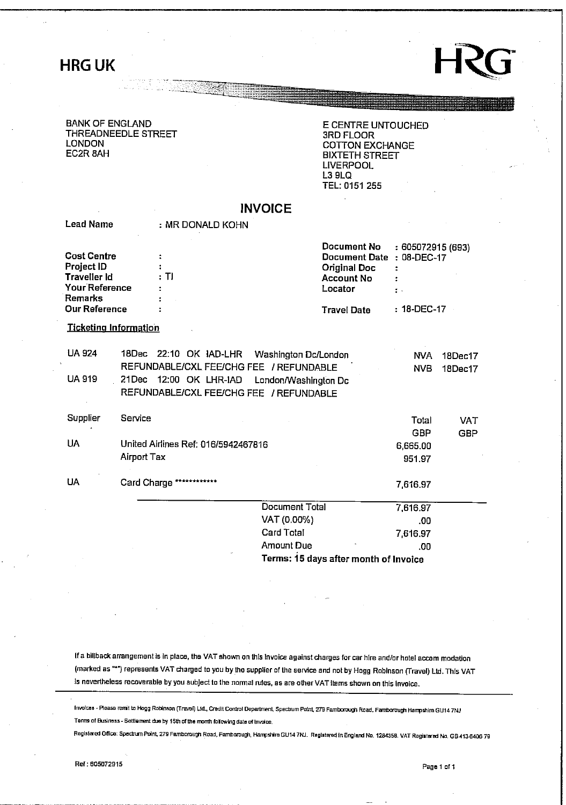## **HRG** UK



#### **BANK OF ENGLAND THREADNEEDLE STREET LONDON EC2R 8AH**

**E CENTRE UNTOUCHED 3RD FLOOR COTTON EXCHANGE BIXTETH STREET LIVERPOOL L3 9LQ TEL: 0151 255** 

|                                                                                             |                |                                      | <b>INVOICE</b>                                                                                                                     |                                                                                      |                                  |                          |
|---------------------------------------------------------------------------------------------|----------------|--------------------------------------|------------------------------------------------------------------------------------------------------------------------------------|--------------------------------------------------------------------------------------|----------------------------------|--------------------------|
| <b>Lead Name</b>                                                                            |                | : MR DONALD KOHN                     |                                                                                                                                    |                                                                                      |                                  |                          |
| <b>Cost Centre</b><br><b>Project ID</b><br>Traveller Id<br>Your Reference<br><b>Remarks</b> | : TI           |                                      |                                                                                                                                    | Document No.<br>Document Date<br><b>Original Doc</b><br><b>Account No</b><br>Locator | : 605072915 (693)<br>: 08-DEC-17 |                          |
| <b>Our Reference</b>                                                                        |                |                                      |                                                                                                                                    | <b>Travel Date</b>                                                                   | : 18-DEC-17                      |                          |
| <b>Ticketing Information</b>                                                                |                |                                      |                                                                                                                                    |                                                                                      |                                  |                          |
| <b>UA 924</b><br><b>UA 919</b>                                                              | 18Dec<br>21Dec | 22:10 OK IAD-LHR<br>12:00 OK LHR-JAD | Washington Dc/London<br>REFUNDABLE/CXL FEE/CHG FEE / REFUNDABLE<br>London/Washington Dc<br>REFUNDABLE/CXL FEE/CHG FEE / REFUNDABLE |                                                                                      | NVA.<br><b>NVB</b>               | $18$ Dec $17$<br>18Dec17 |
| Supplier                                                                                    | Service        |                                      |                                                                                                                                    |                                                                                      | Total<br><b>GBP</b>              | <b>VAT</b><br><b>GBP</b> |
| <b>UA</b>                                                                                   | Airport Tax    | United Airlines Ref: 016/5942467816  |                                                                                                                                    |                                                                                      | 6,665.00<br>951.97               |                          |
| UA                                                                                          |                | Card Charge ************             |                                                                                                                                    |                                                                                      | 7,616.97                         |                          |
|                                                                                             |                |                                      | Document Total                                                                                                                     |                                                                                      | 7,616.97                         |                          |
|                                                                                             |                |                                      | VAT (0.00%)                                                                                                                        |                                                                                      | .00                              |                          |
|                                                                                             |                |                                      | <b>Card Total</b>                                                                                                                  |                                                                                      | 7,616.97                         |                          |
|                                                                                             |                |                                      | Amount Due                                                                                                                         |                                                                                      | .00                              |                          |

**Terms: 15 days after month of Invoice** 

**If a billback arrangement Is In place, the VAT shown on this Invoice against charges for car hire and/or hotel accom modation (marked as "") represents VAT charged to you by the supplier of the service and not by Hogg Robinson (Travel) Ltd. This VAT Is nevertheless recoverable by you subject to the normal rules, as are other VAT Items shown on this invoice.** 

**Inrofcas - Reasa remit ta Hogg Robinson (TravBl) LitL, Credit Control Department, Spectrum Point, 279 Famborough Road, Famborough Hampshire GU14 7NJ**  Terms of Business - Settlement due by 15th of the month following data of Invoice.

**Registered CUTtce; Spectrum Point, 279 Famboraugh Road, Famfcarough, Harrp\*frBGU14 7MJ. Registered In England No. 12B435B. VAT Regitlored Ha. GB413640G 79**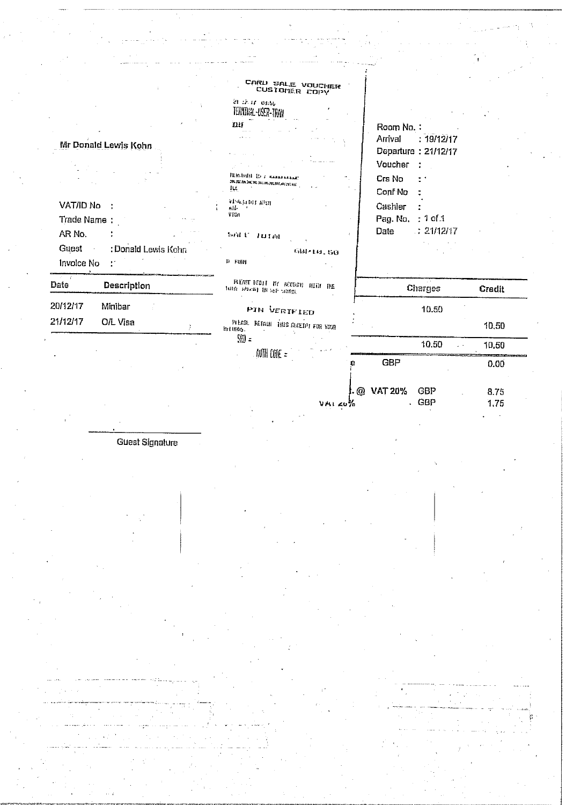|                                     | CARD SALE VOUCHER<br>CUSTOMER COPY                        |                               |        |
|-------------------------------------|-----------------------------------------------------------|-------------------------------|--------|
|                                     | 21.42.14.0436<br>TERNITAL JSER-TRAV                       |                               |        |
|                                     | fiif                                                      | Room No.:                     |        |
|                                     |                                                           | Arrival<br>: 19/12/17         |        |
| Mr Donald Lewis Kohn                |                                                           | Departure: 21/12/17           |        |
|                                     |                                                           | Voucher                       |        |
|                                     | <b>BERGHIST TO A MARABARANE</b> T<br><b>*************</b> | Crs No                        |        |
|                                     | ЦĻ.                                                       | Conf No                       |        |
| VAT/ID No                           | ная почвету<br>6H <sub>2</sub>                            | Cashier                       |        |
| Trade Name:                         | VISA                                                      | Pag. No. : 1 of 1             |        |
| AR No.                              | PULL INITAL                                               | $\therefore$ 21/12/17<br>Date |        |
| <b>Guest</b><br>: Donald Lewis Kohn | 681-19.60                                                 |                               |        |
| Invoice No<br>$\mathcal{L}^{\pi}$   | D FUM                                                     |                               |        |
| Date<br>Description                 | PART REDLE MY BECOME HERE THE<br>NHR HEATH IN SECTION     | Charges                       | Credit |
| 20/12/17<br>Minibar                 | PIN VERTFIED                                              | 10.50                         |        |
| 21/12/17<br>O/L Visa                | PILASE RETAIL THIS GECETPI FOR YOUR<br>KritHHS.           |                               | 10,50  |
|                                     | $\mathbb{S}(\mathbb{R})$ =                                | 10.50                         | 10.50  |
|                                     | . ANTAIL CODE $\,$ $\,$ $\,$                              | <b>GBP</b>                    | 0.00   |
|                                     |                                                           |                               |        |

 $. @$  VAT 20%

 $V + i \leq v \frac{1}{2}$ 

GBP<br>GBP

8.75<br>1.75

J.

Guest Signature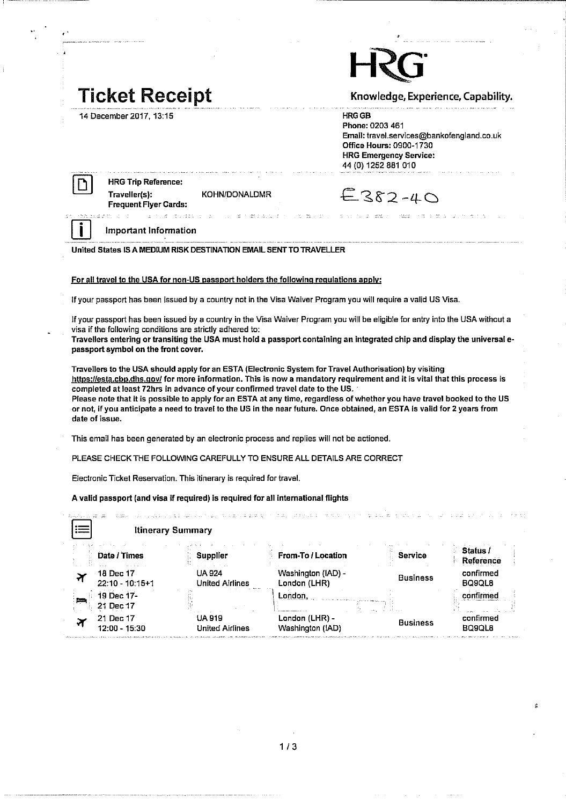## **Ticket Receipt**

**14 December 2017,13:15** 

**Knowledge, Experience, Capability.** 

**HRGGB** 

**Phone: 0203 461 Email: travel.services@bankofengland.co.uk Office Hours: 0900-1730 HRG Emergency Service: 44 (0)1252 881 010** 

|--|--|

**date of issue.** 

D **HRG Trip Reference: Traveller(s): KOHN/DONALDMR Frequent Flyer Cards:** 

and an

| $E$ 382-40 |  |  |  |  |
|------------|--|--|--|--|
|------------|--|--|--|--|

**Service** 

and the control

#### **Important Information**

and the sec-

**United States IS A MEDIUM RISK DESTINATION EMAIL SENT TO TRAVELLER** 

#### **For all travel to the USA for non-US passport holders the following regulations apply:**

**If your passport has been issued by a country not in the Visa Waiver Program you will require a valid US Visa.** 

**if your passport has been issued by a country in the Visa Waiver Program you will be eligible for entry into the USA without a visa if the following conditions are strictly adhered to:** 

**Travellers entering or transiting the USA must hold a passport containing an integrated chip and display the universal epassport symbol on the front cover.** 

**Travellers to the USA should apply for an ESTA (Electronic System for Travel Authorisation) by visiting https://esta.cbp.dhs.gov/ for more information. This is now a mandatory requirement and it is vital that this process is completed at least 72hrs in advance of your confirmed travel date to the US. ' Please note that it is possible to apply for an ESTA at any time, regardless of whether you have travel booked to the US or not, if you anticipate a need to travel to the US in the near future. Once obtained, an ESTA is valid for 2 years from** 

**This email has been generated by an electronic process and replies will not be actioned.** 

**PLEASE CHECK THE FOLLOWING CAREFULLY TO ENSURE ALL DETAILS ARE CORRECT** 

Electronic Ticket Reservation. This itinerary is required for travel.

**A valid passport (and visa if required) is required for all international flights** 

| ---<br>$+$<br>       |                                  | <b>Itinerary Summary</b>         |                                    |                 |                            |
|----------------------|----------------------------------|----------------------------------|------------------------------------|-----------------|----------------------------|
|                      | Date / Times                     | Supplier                         | From-To / Location                 | Service         | Status.<br>Reference       |
|                      | 18 Dec 17<br>$22:10 - 10:15 + 1$ | UA 924<br><b>United Airlines</b> | Washington (IAD) -<br>London (LHR) | <b>Business</b> | confirmed<br><b>BO9OL8</b> |
| ببليط                | 19 Dec 17-<br>Dec 17<br>21.      |                                  | London,                            |                 | <b>Hirmer</b>              |
| $\blacktriangledown$ | 21 Dec 17<br>12:00 - 15:30       | UA 919<br><b>United Airlines</b> | London (LHR) -<br>Washington (IAD) | <b>Business</b> | confirmed<br>BQ9QL8        |

**1 / 3**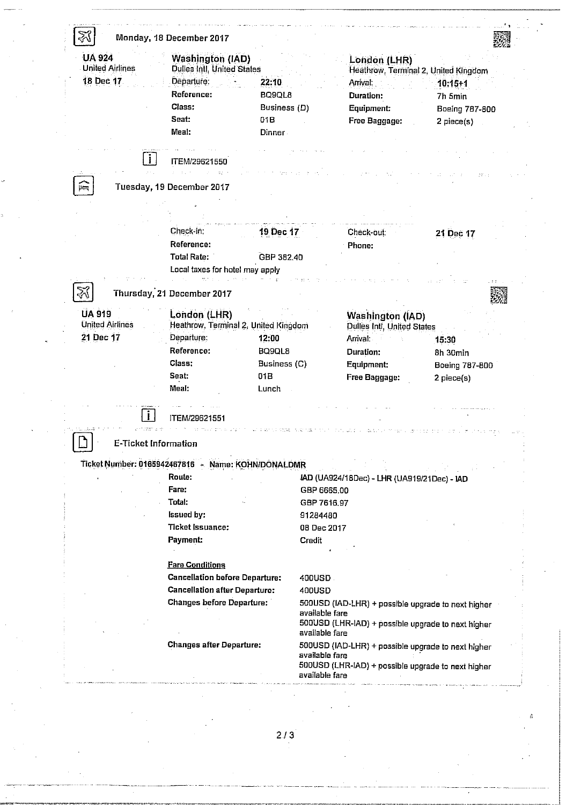| <b>UA 924</b><br><b>United Airlines</b> | <b>Washington (IAD)</b>                            |                | London (LHR)                                       |                |
|-----------------------------------------|----------------------------------------------------|----------------|----------------------------------------------------|----------------|
|                                         | <b>Dulles Intl, United States</b>                  |                | Heathrow, Terminal 2, United Kingdom               |                |
| 18 Dec 17                               | Departure:                                         | 22:10          | Arrival:                                           | $10:15+1$      |
|                                         | Reference:                                         | <b>BQ9QL8</b>  | Duration:                                          | 7h 5min        |
|                                         | Class:                                             | Business (D)   | Equipment:                                         | Boeing 787-800 |
|                                         | Seat:                                              | 01B            | Free Baggage:                                      | 2 piece(s)     |
|                                         | Meal:                                              | Dinner-        |                                                    |                |
|                                         |                                                    |                |                                                    |                |
| $\vert \cdot \vert$                     | ITEM/29621550                                      |                |                                                    |                |
|                                         |                                                    |                |                                                    |                |
| 圖                                       | Tuesday, 19 December 2017                          |                |                                                    |                |
|                                         |                                                    |                |                                                    |                |
|                                         |                                                    |                |                                                    |                |
|                                         | Check-in:                                          | 19 Dec 17      | Check-out:                                         | 21 Dec 17      |
|                                         | Reference:                                         |                | Phone:                                             |                |
|                                         | <b>Total Rate:</b>                                 | GBP 382.40     |                                                    |                |
|                                         | Local taxes for hotel may apply                    |                |                                                    |                |
|                                         |                                                    |                |                                                    |                |
| Z                                       | Thursday, 21 December 2017                         |                |                                                    |                |
|                                         |                                                    |                |                                                    |                |
| <b>UA 919</b>                           | London (LHR)                                       |                | <b>Washington (IAD)</b>                            |                |
| <b>United Airlines</b>                  | Heathrow, Terminal 2, United Kingdom               |                | <b>Dulles Intl, United States</b>                  |                |
| 21 Dec 17                               | Departure:                                         | 12:00          | Arrival:                                           | 15:30          |
|                                         | Reference:                                         | BQ9QL8         | Duration:                                          | 8h 30min       |
|                                         | Class:                                             | Business (C)   | Equipment:                                         | Boeing 787-800 |
|                                         | Seat:                                              | 01B            | Free Baggage:                                      | 2 piece(s)     |
|                                         | Meal:                                              | Lunch          |                                                    |                |
|                                         |                                                    |                |                                                    |                |
|                                         | ITEM/29621551                                      |                |                                                    |                |
|                                         |                                                    |                |                                                    |                |
|                                         |                                                    |                |                                                    |                |
|                                         | <b>E-Ticket Information</b>                        |                |                                                    |                |
|                                         | Ticket Number: 0165942467816 - Name: KOHN/DONALDMR |                |                                                    |                |
|                                         | Route:                                             |                | IAD (UA924/18Dec) - LHR (UA919/21Dec) - IAD        |                |
|                                         | Fare:                                              | GBP 6665.00    |                                                    |                |
|                                         | Total:                                             | GBP 7616.97    |                                                    |                |
|                                         |                                                    |                |                                                    |                |
|                                         | <b>Issued by:</b>                                  | 91284480       |                                                    |                |
|                                         | <b>Ticket Issuance:</b>                            | 08 Dec 2017    |                                                    |                |
|                                         | <b>Payment:</b>                                    | Credit         |                                                    |                |
|                                         |                                                    |                |                                                    |                |
|                                         |                                                    |                |                                                    |                |
|                                         | <b>Fare Conditions</b>                             |                |                                                    |                |
|                                         | <b>Cancellation before Departure:</b>              | 400USD.        |                                                    |                |
|                                         | <b>Cancellation after Departure:</b>               | 400USD         |                                                    |                |
|                                         | <b>Changes before Departure:</b>                   |                | 500USD (IAD-LHR) + possible upgrade to next higher |                |
|                                         |                                                    | available fare |                                                    |                |
|                                         |                                                    | available fare | 500USD (LHR-IAD) + possible upgrade to next higher |                |
|                                         | <b>Changes after Departure:</b>                    |                |                                                    |                |
|                                         |                                                    | available fare | 500USD (IAD-LHR) + possible upgrade to next higher |                |
|                                         |                                                    | available fare | 500USD (LHR-IAD) + possible upgrade to next higher |                |

**2 / 3**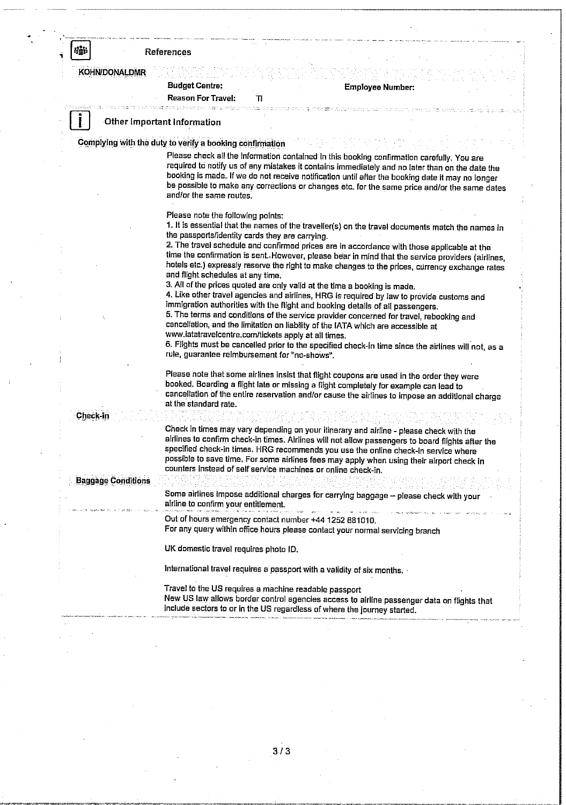#### **fig\* I References**

**KOHN/DONALDMR KOHN/DONALDMR** 

### **Budget Centre: Employee Number:**

**Reason For Travel: Tl** 

**Other Important Information** 

**Complying with the duty to verify a booking confirmation** 

**Please check all the infonnation contained in this booking confirmation carefully. You are required to notify us of any mistakes it contains immediately and no later than on the date the booking is made. If we do not receive notification until after the booking date it may no longer be possible to make any corrections or changes etc. for the same price and/or the same dates and/or the same routes.** 

**Please note the following points:** 

**1. It is essential that the names ofthe travelier(s) on the travel documents match the names tn the passports/identity cards they are carrying.** 

**2. The travel schedule and confirmed prices are in accordance with those applicable at the time the confirmation is sent..However, please bear in mind that the service providers (airlines, hotels etc.) expressly reserve the right to make changes to the prices, currency exchange rates and flight schedules at any time.** 

**3. All of the prices quoted are only valid at the time a booking is made.** 

**4. Like other travel agencies and airlines, HRG Is required by law to provide customs and Immigration authorities with the flight and booking details of all passengers.** 

**5. The terms and conditions of the service provider concerned for travel, rebooking and cancellation, and the limitation on liability of the IATA which are accessible at www.iatatravelcentre.com/tickets apply at all times.** 

**6. Flights must be cancelled prior to the specified check-in time since the airlines will not, as a rule, guarantee reimbursement for "no-shows".** 

Please note that some airlines insist that flight coupons are used in the order they were **booked. Boarding a flight late or missing a flight completely for example can lead to**  cancellation of the entire reservation and/or cause the airlines to impose an additional charge **at the standard rate.** 

**Check-in** 

**Check In times may vary depending on your itinerary and airline - please check with the airlines to confirm check-in times. Airlines will not allow passengers to board flights after the specified check-in times. HRG recommends you use the online check-in service where possible to save time, For some airlines fees may apply when using their airport check in counters instead of self service machines or online check-in.** 

**Baggage Conditions** 

Some airlines impose additional charges for carrying baggage - please check with your airline to confirm your entitlement.

**Out of hours emergency contact number +44 1252 B81010.** 

**For any query within office hours please contact your normal servicing branch** 

**UK domestic travel requires photo ID.** 

International travel requires a passport with a validity of six months.

**Travel to the US requires a machine readable passport**  include sectors to or in the US regardless of where the journey started. **include sectors to or in the US regardless of where the journey started.**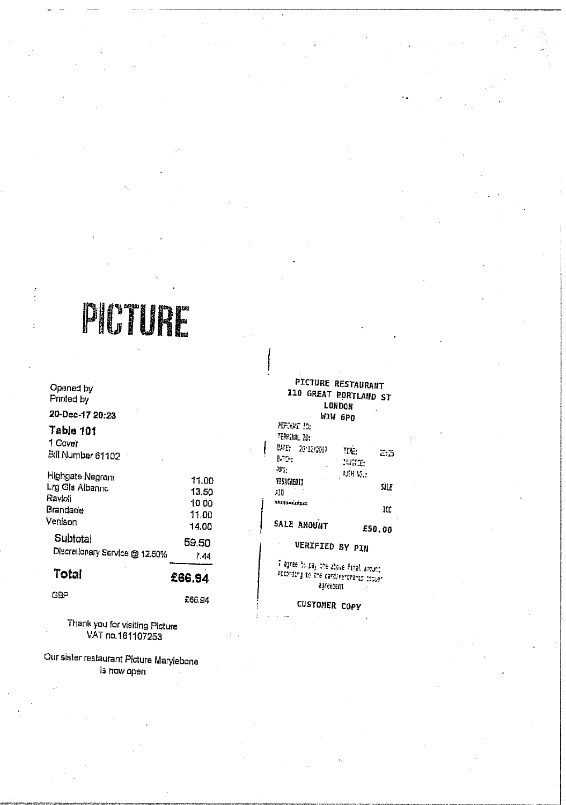# **PIOTES**

**Opened by Pnnted by** 

**20-Dee-17 20:23** 

## **Table 1.01**

**1 Caver Bifl Number 61102** 

| Highgate Negroni               | 11.00  |
|--------------------------------|--------|
| Lrg Gls Albanno                | 13,50  |
| Ravioli                        | 1000   |
| Brandade                       | 11.00  |
| Venison                        | 14.00  |
| <b>Subtotal</b>                | 59.50  |
| Discretionary Service @ 12.50% | 7.44   |
| Total                          | £66.94 |
| GBP                            | £66.94 |

**Thank you for visiting Picture VAT no.161107253** 

**Our sister restaurant Picture MaryJebone is now open** 

|                                       | <b>PICTURE RESTAURANT</b><br>110 GREAT PORTLAND ST<br>LONDON |
|---------------------------------------|--------------------------------------------------------------|
|                                       | №1₩ 6РО                                                      |
| <b>AEFORM IN</b>                      |                                                              |
| TEPHAL 10:                            |                                                              |
| <b>BME: 2012/2017</b>                 | ne.<br>$\mathbb{C}^n$ is                                     |
| B. G.                                 | WITH                                                         |
| эр.,                                  | 动耳机器                                                         |
| VI SACREDI I                          | SILE                                                         |
| -10                                   |                                                              |
| ministra                              | . ICC                                                        |
| <b>SALE AMOUNT</b>                    | £50.00                                                       |
|                                       | <b>VERIFIED BY PIN</b>                                       |
| I agree to pay the above final amount | According to the cardinarchanic remain                       |

**ijrect-cfit** 

**CUSTOMER** copy